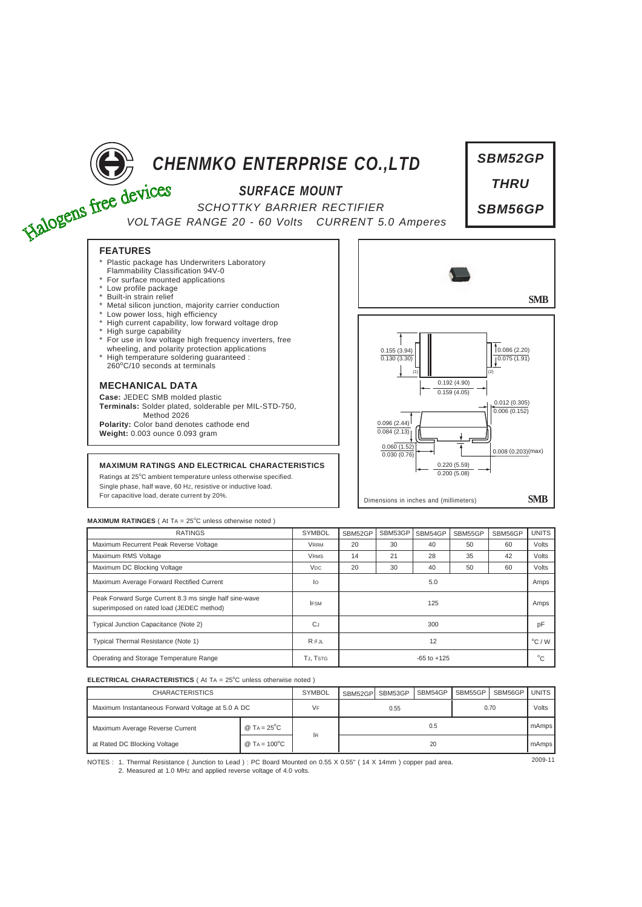

# *CHENMKO ENTERPRISE CO.,LTD*

## *SURFACE MOUNT*

*SCHOTTKY BARRIER RECTIFIER VOLTAGE RANGE 20 - 60 Volts CURRENT 5.0 Amperes*



- Plastic package has Underwriters Laboratory
- Flammability Classification 94V-0
- \* For surface mounted applications \* Low profile package
- Built-in strain relief
- Metal silicon junction, majority carrier conduction
- Low power loss, high efficiency
- High current capability, low forward voltage drop
- \* High surge capability
- \* For use in low voltage high frequency inverters, free wheeling, and polarity protection applications
- \* High temperature soldering guaranteed : 260<sup>o</sup> C/10 seconds at terminals

### **MECHANICAL DATA**

**Case:** JEDEC SMB molded plastic **Terminals:** Solder plated, solderable per MIL-STD-750, Method 2026 **Polarity:** Color band denotes cathode end **Weight:** 0.003 ounce 0.093 gram

#### **MAXIMUM RATINGS AND ELECTRICAL CHARACTERISTICS**

Ratings at 25°C ambient temperature unless otherwise specified. Single phase, half wave, 60 HZ, resistive or inductive load. For capacitive load, derate current by 20%.



#### **MAXIMUM RATINGES** ( At TA = 25°C unless otherwise noted )

| <b>RATINGS</b>                                                                                       | <b>SYMBOL</b>         | SBM52GP         | SBM53GP | SBM54GP | SBM55GP | SBM56GP | <b>UNITS</b>     |
|------------------------------------------------------------------------------------------------------|-----------------------|-----------------|---------|---------|---------|---------|------------------|
| Maximum Recurrent Peak Reverse Voltage                                                               | <b>VRRM</b>           | 20              | 30      | 40      | 50      | 60      | Volts            |
| Maximum RMS Voltage                                                                                  | <b>VRMS</b>           | 14              | 21      | 28      | 35      | 42      | Volts            |
| Maximum DC Blocking Voltage                                                                          | <b>V<sub>DC</sub></b> | 20              | 30      | 40      | 50      | 60      | Volts            |
| Maximum Average Forward Rectified Current                                                            | lo                    | 5.0             |         |         |         |         | Amps             |
| Peak Forward Surge Current 8.3 ms single half sine-wave<br>superimposed on rated load (JEDEC method) | <b>IFSM</b>           | 125             |         |         |         |         | Amps             |
| Typical Junction Capacitance (Note 2)                                                                | <b>CJ</b>             | 300             |         |         |         |         | pF               |
| Typical Thermal Resistance (Note 1)                                                                  | $R \theta$ JL         | 12              |         |         |         |         | $^{\circ}$ C / W |
| Operating and Storage Temperature Range                                                              | TJ, TSTG              | $-65$ to $+125$ |         |         |         |         | $^{\circ}C$      |

#### **ELECTRICAL CHARACTERISTICS** ( At TA = 25°C unless otherwise noted )

| <b>CHARACTERISTICS</b>                            |                                    | <b>SYMBOL</b> | SBM52GPI | SBM53GP | SBM54GP | SBM55GP | SBM56GP | <b>UNITS</b> |
|---------------------------------------------------|------------------------------------|---------------|----------|---------|---------|---------|---------|--------------|
| Maximum Instantaneous Forward Voltage at 5.0 A DC |                                    | VF            | 0.55     |         |         | 0.70    |         | Volts        |
| Maximum Average Reverse Current                   | @ TA = $25^{\circ}$ C              |               | 0.5      |         |         |         |         | mAmps        |
| at Rated DC Blocking Voltage                      | @ T <sub>A</sub> = $100^{\circ}$ C | 1R            | 20       |         |         |         |         | mAmps        |

NOTES : <sup>200</sup>9-<sup>11</sup> 1. Thermal Resistance ( Junction to Lead ) : PC Board Mounted on 0.55 X 0.55" ( 14 X 14mm ) copper pad area. 2. Measured at 1.0 MHz and applied reverse voltage of 4.0 volts.